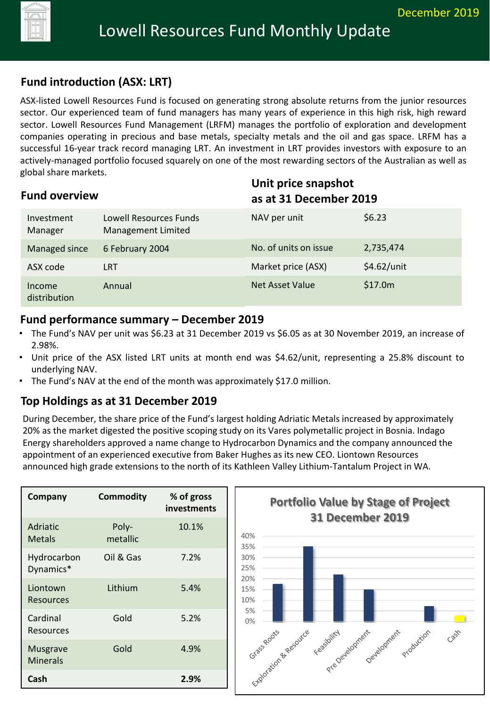

# **Fund introduction (ASX: LRT)**

ASX-listed Lowell Resources Fund is focused on generating strong absolute returns from the junior resources sector. Our experienced team of fund managers has many years of experience in this high risk, high reward sector. Lowell Resources Fund Management (LRFM) manages the portfolio of exploration and development companies operating in precious and base metals, specialty metals and the oil and gas space. LRFM has a successful 16-year track record managing LRT. An investment in LRT provides investors with exposure to an actively-managed portfolio focused squarely on one of the most rewarding sectors of the Australian as well as global share markets.

| <b>Fund overview</b>   |                                              |                        | Unit price snapshot<br>as at 31 December 2019 |  |
|------------------------|----------------------------------------------|------------------------|-----------------------------------------------|--|
| Investment<br>Manager  | Lowell Resources Funds<br>Management Limited | NAV per unit           | \$6.23                                        |  |
| Managed since          | 6 February 2004                              | No. of units on issue  | 2,735,474                                     |  |
| ASX code               | <b>LRT</b>                                   | Market price (ASX)     | \$4.62/unit                                   |  |
| Income<br>distribution | Annual                                       | <b>Net Asset Value</b> | \$17.0m                                       |  |

#### **Fund performance summary – December 2019**

- The Fund's NAV per unit was \$6.23 at 31 December 2019 vs \$6.05 as at 30 November 2019, an increase of 2.98%.
- Unit price of the ASX listed LRT units at month end was \$4.62/unit, representing a 25.8% discount to underlying NAV.
- The Fund's NAV at the end of the month was approximately \$17.0 million.

### **Top Holdings as at 31 December 2019**

During December, the share price of the Fund's largest holding Adriatic Metals increased by approximately 20% as the market digested the positive scoping study on its Vares polymetallic project in Bosnia. Indago Energy shareholders approved a name change to Hydrocarbon Dynamics and the company announced the appointment of an experienced executive from Baker Hughes as its new CEO. Liontown Resources announced high grade extensions to the north of its Kathleen Valley Lithium-Tantalum Project in WA.

| Company                            | <b>Commodity</b>  | % of gross<br>investments |
|------------------------------------|-------------------|---------------------------|
| Adriatic<br><b>Metals</b>          | Poly-<br>metallic | 10.1%                     |
| Hydrocarbon<br>Dynamics*           | Oil & Gas         | 7.2%                      |
| Liontown<br><b>Resources</b>       | Lithium           | 5.4%                      |
| Cardinal<br>Resources              | Gold              | 5.2%                      |
| <b>Musgrave</b><br><b>Minerals</b> | Gold              | 4.9%                      |
| Cash                               |                   | 2.9%                      |